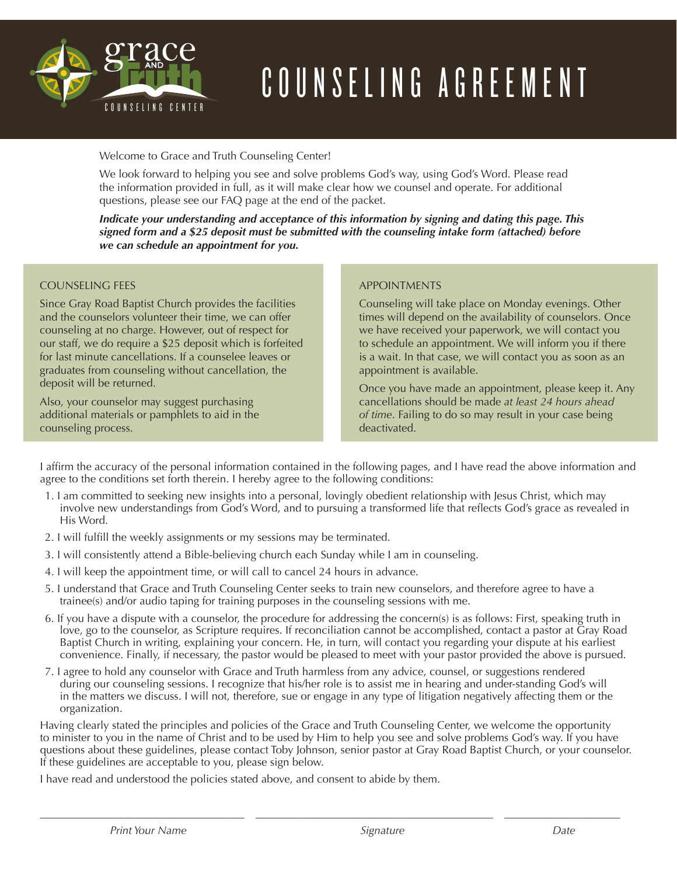

# COUNSELING AGREEMENT

Welcome to Grace and Truth Counseling Center!

We look forward to helping you see and solve problems God's way, using God's Word. Please read the information provided in full, as it will make clear how we counsel and operate. For additional questions, please see our FAQ page at the end of the packet.

signed form and a \$25 deposit must be submitted with the counseling intake form (attached) before *Indicate your understanding and acceptance of this information by signing and dating this page. This we can schedule an appointment for you.*

### COUNSELING FEES

Since Gray Road Baptist Church provides the facilities and the counselors volunteer their time, we can offer counseling at no charge. However, out of respect for our staff, we do require a \$25 deposit which is forfeited for last minute cancellations. If a counselee leaves or graduates from counseling without cancellation, the deposit will be returned.

Also, your counselor may suggest purchasing additional materials or pamphlets to aid in the counseling process.

### APPOINTMENTS

Counseling will take place on Monday evenings. Other times will depend on the availability of counselors. Once we have received your paperwork, we will contact you to schedule an appointment. We will inform you if there is a wait. In that case, we will contact you as soon as an appointment is available.

Once you have made an appointment, please keep it. Any cancellations should be made *at least 24 hours ahead of time*. Failing to do so may result in your case being deactivated.

I affirm the accuracy of the personal information contained in the following pages, and I have read the above information and agree to the conditions set forth therein. I hereby agree to the following conditions:

- 1. I am committed to seeking new insights into a personal, lovingly obedient relationship with Jesus Christ, which may involve new understandings from God's Word, and to pursuing a transformed life that reflects God's grace as revealed in His Word.
- 2. I will fulfill the weekly assignments or my sessions may be terminated.
- 3. I will consistently attend a Bible-believing church each Sunday while I am in counseling.
- 4. I will keep the appointment time, or will call to cancel 24 hours in advance.
- 5. I understand that Grace and Truth Counseling Center seeks to train new counselors, and therefore agree to have a trainee(s) and/or audio taping for training purposes in the counseling sessions with me.
- 6. If you have a dispute with a counselor, the procedure for addressing the concern(s) is as follows: First, speaking truth in love, go to the counselor, as Scripture requires. If reconciliation cannot be accomplished, contact a pastor at Gray Road Baptist Church in writing, explaining your concern. He, in turn, will contact you regarding your dispute at his earliest convenience. Finally, if necessary, the pastor would be pleased to meet with your pastor provided the above is pursued.
- 7. I agree to hold any counselor with Grace and Truth harmless from any advice, counsel, or suggestions rendered during our counseling sessions. I recognize that his/her role is to assist me in hearing and under-standing God's will in the matters we discuss. I will not, therefore, sue or engage in any type of litigation negatively affecting them or the organization.

Having clearly stated the principles and policies of the Grace and Truth Counseling Center, we welcome the opportunity to minister to you in the name of Christ and to be used by Him to help you see and solve problems God's way. If you have questions about these guidelines, please contact Toby Johnson, senior pastor at Gray Road Baptist Church, or your counselor. If these guidelines are acceptable to you, please sign below.

\_\_\_\_\_\_\_\_\_\_\_\_\_\_\_\_\_\_\_\_\_\_\_\_\_\_\_\_\_\_\_\_\_\_\_\_\_ \_\_\_\_\_\_\_\_\_\_\_\_\_\_\_\_\_\_\_\_\_\_\_\_\_\_\_\_\_\_\_\_\_\_\_\_\_\_\_\_\_\_\_ \_\_\_\_\_\_\_\_\_\_\_\_\_\_\_\_\_\_\_\_\_

I have read and understood the policies stated above, and consent to abide by them.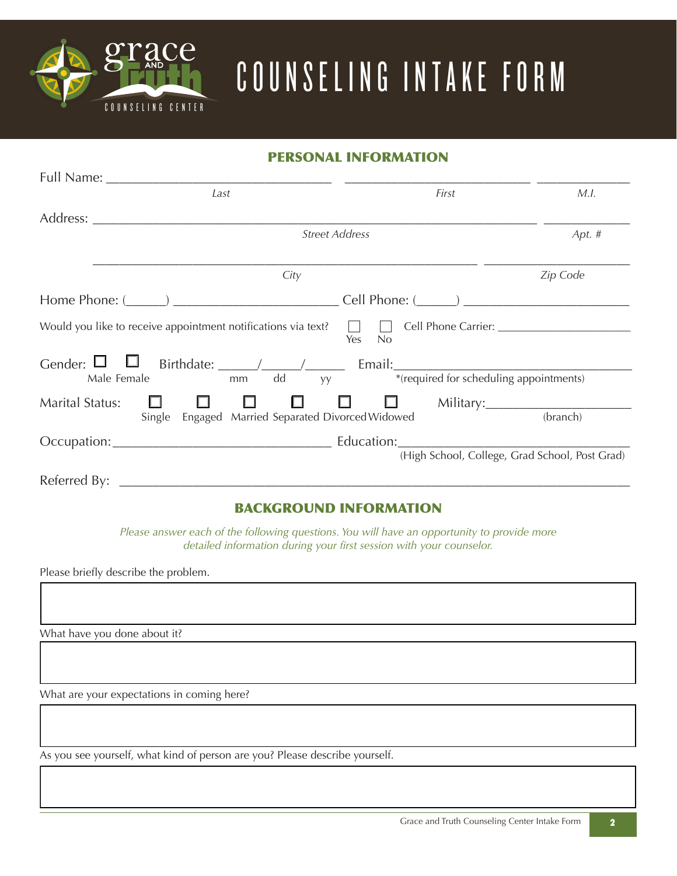

# COUNSELING INTAKE FORM

# PERSONAL INFORMATION

| Last                                                                                                                                                                                                                           | First                                                                                                                                                                                                                                                                     | M.I.     |  |
|--------------------------------------------------------------------------------------------------------------------------------------------------------------------------------------------------------------------------------|---------------------------------------------------------------------------------------------------------------------------------------------------------------------------------------------------------------------------------------------------------------------------|----------|--|
| Address: Analysis and the set of the set of the set of the set of the set of the set of the set of the set of the set of the set of the set of the set of the set of the set of the set of the set of the set of the set of th |                                                                                                                                                                                                                                                                           |          |  |
|                                                                                                                                                                                                                                | <b>Street Address</b>                                                                                                                                                                                                                                                     | Apt. $#$ |  |
| City                                                                                                                                                                                                                           |                                                                                                                                                                                                                                                                           | Zip Code |  |
| Home Phone: $(\_\_\_\_$                                                                                                                                                                                                        | Cell Phone: $(\_\_\_\_)$                                                                                                                                                                                                                                                  |          |  |
| Would you like to receive appointment notifications via text? $\Box$ Cell Phone Carrier: $\Box$                                                                                                                                | Yes<br>No                                                                                                                                                                                                                                                                 |          |  |
| dd<br>Male Female<br>mm                                                                                                                                                                                                        | *(required for scheduling appointments)<br>yy and the state of the state of the state of the state of the state of the state of the state of the state of the state of the state of the state of the state of the state of the state of the state of the state of the sta |          |  |
| <b>Marital Status:</b><br>ш<br>Engaged Married Separated Divorced Widowed<br>Single                                                                                                                                            | $\Box$                                                                                                                                                                                                                                                                    | (branch) |  |
|                                                                                                                                                                                                                                |                                                                                                                                                                                                                                                                           |          |  |
|                                                                                                                                                                                                                                | (High School, College, Grad School, Post Grad)                                                                                                                                                                                                                            |          |  |

# BACKGROUND INFORMATION

*Please answer each of the following questions. You will have an opportunity to provide more detailed information during your first session with your counselor.*

Please briefly describe the problem.

What have you done about it?

What are your expectations in coming here?

As you see yourself, what kind of person are you? Please describe yourself.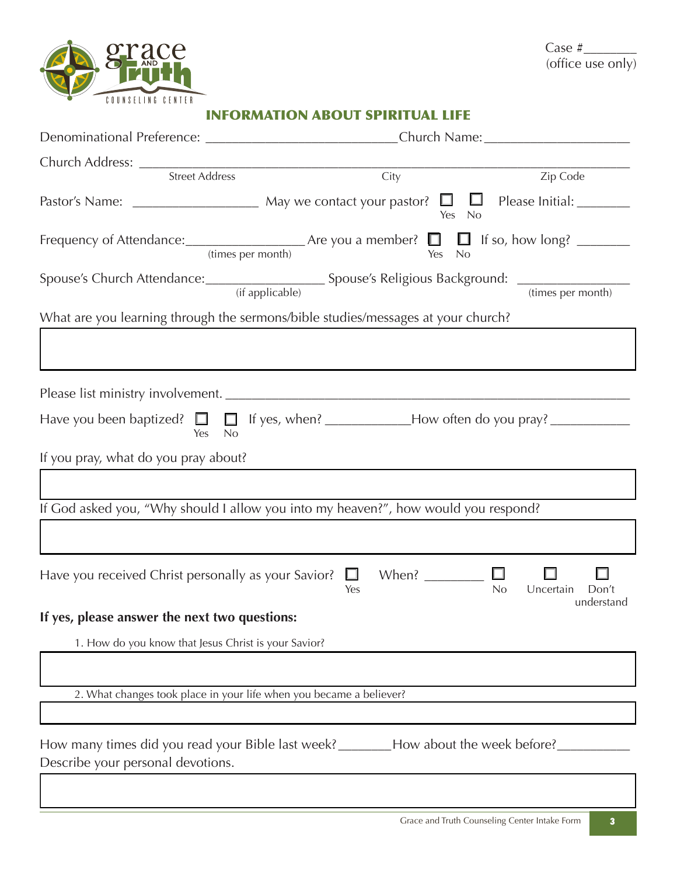

## INFORMATION ABOUT SPIRITUAL LIFE

|                                                                     | Denominational Preference: ______________________________Church Name: ______________________________ |                                  |  |  |
|---------------------------------------------------------------------|------------------------------------------------------------------------------------------------------|----------------------------------|--|--|
|                                                                     |                                                                                                      |                                  |  |  |
|                                                                     | Church Address: <u>City Street Address City</u>                                                      | Zip Code                         |  |  |
|                                                                     | Yes No                                                                                               |                                  |  |  |
|                                                                     | Frequency of Attendance: $\frac{1}{(times per month)}$ Are you a member? $\Box$ If so, how long?     |                                  |  |  |
|                                                                     |                                                                                                      |                                  |  |  |
|                                                                     | What are you learning through the sermons/bible studies/messages at your church?                     |                                  |  |  |
|                                                                     |                                                                                                      |                                  |  |  |
|                                                                     |                                                                                                      |                                  |  |  |
|                                                                     |                                                                                                      |                                  |  |  |
| Yes No                                                              |                                                                                                      |                                  |  |  |
| If you pray, what do you pray about?                                |                                                                                                      |                                  |  |  |
|                                                                     |                                                                                                      |                                  |  |  |
|                                                                     | If God asked you, "Why should I allow you into my heaven?", how would you respond?                   |                                  |  |  |
|                                                                     |                                                                                                      |                                  |  |  |
| Have you received Christ personally as your Savior? $\Box$          | When? $\qquad \qquad \Box$<br>No<br>Yes                                                              | Uncertain<br>Don't<br>understand |  |  |
| If yes, please answer the next two questions:                       |                                                                                                      |                                  |  |  |
| 1. How do you know that Jesus Christ is your Savior?                |                                                                                                      |                                  |  |  |
|                                                                     |                                                                                                      |                                  |  |  |
| 2. What changes took place in your life when you became a believer? |                                                                                                      |                                  |  |  |
|                                                                     |                                                                                                      |                                  |  |  |
| Describe your personal devotions.                                   | How many times did you read your Bible last week? ________How about the week before?                 |                                  |  |  |
|                                                                     |                                                                                                      |                                  |  |  |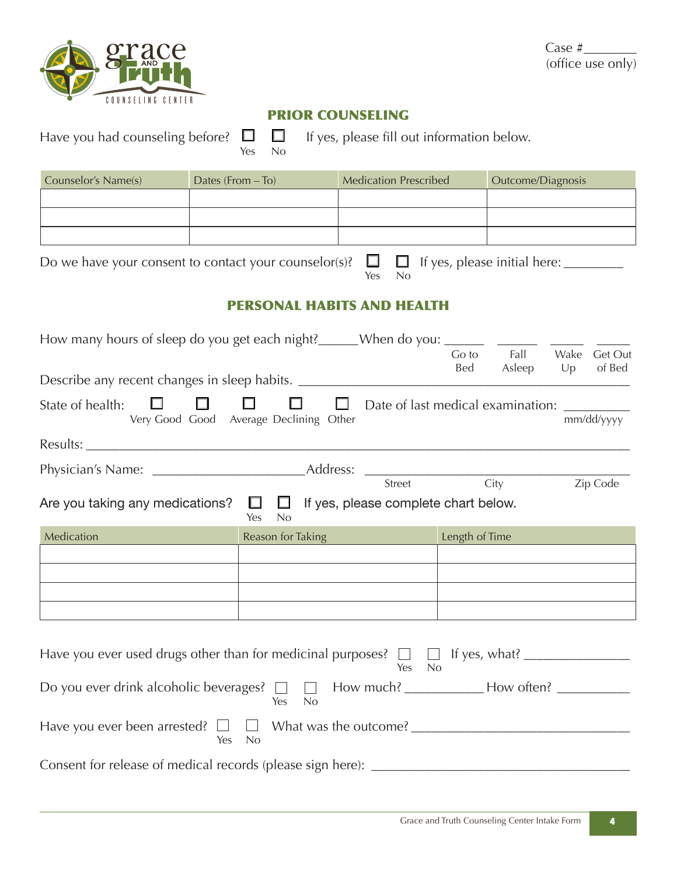

Case #\_\_\_\_\_\_\_\_ (office use only)

# PRIOR COUNSELING

| Have you had counseling before? $\Box$                                                                     | Yes               | $\Box$<br>No                                     | If yes, please fill out information below.             |                |                   |            |                   |
|------------------------------------------------------------------------------------------------------------|-------------------|--------------------------------------------------|--------------------------------------------------------|----------------|-------------------|------------|-------------------|
| Counselor's Name(s)                                                                                        | Dates (From - To) |                                                  | <b>Medication Prescribed</b>                           |                | Outcome/Diagnosis |            |                   |
|                                                                                                            |                   |                                                  |                                                        |                |                   |            |                   |
|                                                                                                            |                   |                                                  |                                                        |                |                   |            |                   |
|                                                                                                            |                   |                                                  |                                                        |                |                   |            |                   |
| Do we have your consent to contact your counselor(s)? $\Box$ $\Box$ If yes, please initial here: _________ |                   |                                                  | No<br>Yes                                              |                |                   |            |                   |
|                                                                                                            |                   |                                                  | <b>PERSONAL HABITS AND HEALTH</b>                      |                |                   |            |                   |
|                                                                                                            |                   |                                                  |                                                        |                |                   |            |                   |
|                                                                                                            |                   |                                                  |                                                        | Go to<br>Bed   | Fall<br>Asleep    | Wake<br>Up | Get Out<br>of Bed |
| Describe any recent changes in sleep habits. ___________________________________                           |                   |                                                  |                                                        |                |                   |            |                   |
| $\Box$<br>State of health:                                                                                 | $\Box$            | $\Box$<br>Very Good Good Average Declining Other | $\Box$<br>Date of last medical examination: __________ |                |                   |            | mm/dd/yyyy        |
|                                                                                                            |                   |                                                  |                                                        |                |                   |            |                   |
|                                                                                                            |                   |                                                  |                                                        |                |                   |            |                   |
|                                                                                                            |                   |                                                  |                                                        |                |                   |            | Zip Code          |
| Are you taking any medications? $\square \square \square$ If yes, please complete chart below.             |                   | No<br>Yes                                        |                                                        |                |                   |            |                   |
| Medication                                                                                                 |                   | Reason for Taking                                |                                                        | Length of Time |                   |            |                   |
|                                                                                                            |                   |                                                  |                                                        |                |                   |            |                   |
|                                                                                                            |                   |                                                  |                                                        |                |                   |            |                   |
|                                                                                                            |                   |                                                  |                                                        |                |                   |            |                   |
|                                                                                                            |                   |                                                  |                                                        |                |                   |            |                   |
| Have you ever used drugs other than for medicinal purposes? $\Box$ $\Box$ If yes, what?                    |                   |                                                  | Yes No                                                 |                |                   |            |                   |
| Do you ever drink alcoholic beverages? □ □ How much? ___________How often? __________                      |                   | No<br>Yes                                        |                                                        |                |                   |            |                   |
|                                                                                                            | Yes<br>No         |                                                  |                                                        |                |                   |            |                   |
|                                                                                                            |                   |                                                  |                                                        |                |                   |            |                   |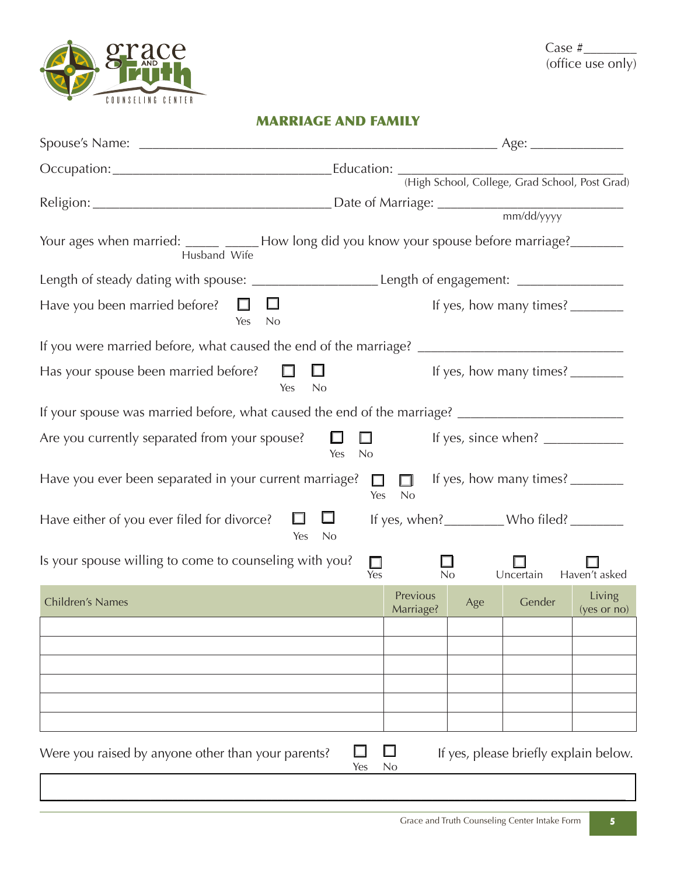

# MARRIAGE AND FAMILY

| Your ages when married: _____ _____ How long did you know your spouse before marriage? _______<br>Husband Wife                                                                |                                                                                                                                                                                                                                                                                                                                                                                                                                  |                       |     |                                       |                       |
|-------------------------------------------------------------------------------------------------------------------------------------------------------------------------------|----------------------------------------------------------------------------------------------------------------------------------------------------------------------------------------------------------------------------------------------------------------------------------------------------------------------------------------------------------------------------------------------------------------------------------|-----------------------|-----|---------------------------------------|-----------------------|
| Length of steady dating with spouse: ____________________________Length of engagement: _____________                                                                          |                                                                                                                                                                                                                                                                                                                                                                                                                                  |                       |     |                                       |                       |
| Have you been married before? $\square$<br>Ц<br>Yes<br><b>No</b>                                                                                                              | If yes, how many times? $\frac{1}{\sqrt{1-\frac{1}{2}}}\frac{1}{\sqrt{1-\frac{1}{2}}}\frac{1}{\sqrt{1-\frac{1}{2}}}\frac{1}{\sqrt{1-\frac{1}{2}}}\frac{1}{\sqrt{1-\frac{1}{2}}}\frac{1}{\sqrt{1-\frac{1}{2}}}\frac{1}{\sqrt{1-\frac{1}{2}}}\frac{1}{\sqrt{1-\frac{1}{2}}}\frac{1}{\sqrt{1-\frac{1}{2}}}\frac{1}{\sqrt{1-\frac{1}{2}}}\frac{1}{\sqrt{1-\frac{1}{2}}}\frac{1}{\sqrt{1-\frac{1}{2}}}\frac{1$                        |                       |     |                                       |                       |
|                                                                                                                                                                               |                                                                                                                                                                                                                                                                                                                                                                                                                                  |                       |     |                                       |                       |
| Has your spouse been married before? $\Box$                                                                                                                                   | $\Box$<br>If yes, how many times? $\frac{1}{\sqrt{1-\frac{1}{2}}}\frac{1}{\sqrt{1-\frac{1}{2}}}\frac{1}{\sqrt{1-\frac{1}{2}}}\frac{1}{\sqrt{1-\frac{1}{2}}}\frac{1}{\sqrt{1-\frac{1}{2}}}\frac{1}{\sqrt{1-\frac{1}{2}}}\frac{1}{\sqrt{1-\frac{1}{2}}}\frac{1}{\sqrt{1-\frac{1}{2}}}\frac{1}{\sqrt{1-\frac{1}{2}}}\frac{1}{\sqrt{1-\frac{1}{2}}}\frac{1}{\sqrt{1-\frac{1}{2}}}\frac{1}{\sqrt{1-\frac{1}{2}}}\frac{1$<br>Yes<br>No |                       |     |                                       |                       |
| If your spouse was married before, what caused the end of the marriage? ____________________________                                                                          |                                                                                                                                                                                                                                                                                                                                                                                                                                  |                       |     |                                       |                       |
| Are you currently separated from your spouse? $\Box$ $\Box$<br>If yes, since when? $\frac{1}{\sqrt{1-\frac{1}{2}}}\left\lfloor \frac{1}{2} \right\rfloor$<br>Yes<br><b>No</b> |                                                                                                                                                                                                                                                                                                                                                                                                                                  |                       |     |                                       |                       |
| Have you ever been separated in your current marriage? $\square$<br>If yes, how many times?<br>$\Box$<br>Yes<br>No                                                            |                                                                                                                                                                                                                                                                                                                                                                                                                                  |                       |     |                                       |                       |
| Have either of you ever filed for divorce?                                                                                                                                    | $\Box$<br>ப<br>Yes<br><b>No</b>                                                                                                                                                                                                                                                                                                                                                                                                  |                       |     | If yes, when? Who filed?              |                       |
| Is your spouse willing to come to counseling with you?<br>$\Box$ Yes<br>$\overline{N_{0}}$<br>Uncertain<br>Haven't asked                                                      |                                                                                                                                                                                                                                                                                                                                                                                                                                  |                       |     |                                       |                       |
| Children's Names                                                                                                                                                              |                                                                                                                                                                                                                                                                                                                                                                                                                                  | Previous<br>Marriage? | Age | Gender                                | Living<br>(yes or no) |
|                                                                                                                                                                               |                                                                                                                                                                                                                                                                                                                                                                                                                                  |                       |     |                                       |                       |
|                                                                                                                                                                               |                                                                                                                                                                                                                                                                                                                                                                                                                                  |                       |     |                                       |                       |
|                                                                                                                                                                               |                                                                                                                                                                                                                                                                                                                                                                                                                                  |                       |     |                                       |                       |
|                                                                                                                                                                               |                                                                                                                                                                                                                                                                                                                                                                                                                                  |                       |     |                                       |                       |
|                                                                                                                                                                               |                                                                                                                                                                                                                                                                                                                                                                                                                                  |                       |     |                                       |                       |
| Were you raised by anyone other than your parents?                                                                                                                            | Yes                                                                                                                                                                                                                                                                                                                                                                                                                              | No                    |     | If yes, please briefly explain below. |                       |

 $\mathcal{L}_\mathcal{L} = \mathcal{L}_\mathcal{L} = \mathcal{L}_\mathcal{L} = \mathcal{L}_\mathcal{L} = \mathcal{L}_\mathcal{L} = \mathcal{L}_\mathcal{L} = \mathcal{L}_\mathcal{L} = \mathcal{L}_\mathcal{L} = \mathcal{L}_\mathcal{L} = \mathcal{L}_\mathcal{L} = \mathcal{L}_\mathcal{L} = \mathcal{L}_\mathcal{L} = \mathcal{L}_\mathcal{L} = \mathcal{L}_\mathcal{L} = \mathcal{L}_\mathcal{L} = \mathcal{L}_\mathcal{L} = \mathcal{L}_\mathcal{L}$